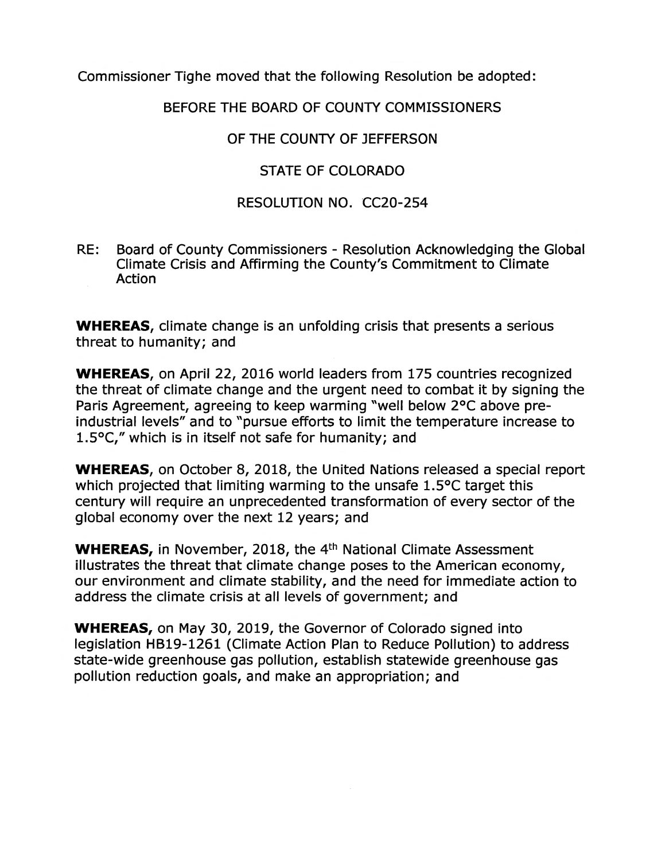Commissioner Tighe moved that the following Resolution be adopted:

#### **BEFORE THE BOARD OF COUNTY COMMISSIONERS**

## OF THE COUNTY OF JEFFERSON

## **STATE OF COLORADO**

# **RESOLUTION NO. CC20-254**

RE: Board of County Commissioners - Resolution Acknowledging the Global Climate Crisis and Affirming the County's Commitment to Climate Action

**WHEREAS,** climate change is an unfolding crisis that presents a serious threat to humanity; and

**WHEREAS,** on April 22, 2016 world leaders from 175 countries recognized the threat of climate change and the urgent need to combat it by signing the Paris Agreement, agreeing to keep warming "well below 2°C above preindustrial levels" and to "pursue efforts to limit the temperature increase to 1.5°C," which is in itself not safe for humanity; and

**WHEREAS,** on October 8, 2018, the United Nations released a special report which projected that limiting warming to the unsafe 1.5°C target this century will require an unprecedented transformation of every sector of the global economy over the next 12 years; and

**WHEREAS, in November, 2018, the 4<sup>th</sup> National Climate Assessment** illustrates the threat that climate change poses to the American economy, our environment and climate stability, and the need for immediate action to address the climate crisis at all levels of government; and

**WHEREAS,** on May 30, 2019, the Governor of Colorado signed into legislation HB19-1261 (Climate Action Plan to Reduce Pollution) to address state-wide greenhouse gas pollution, establish statewide greenhouse gas pollution reduction goals, and make an appropriation; and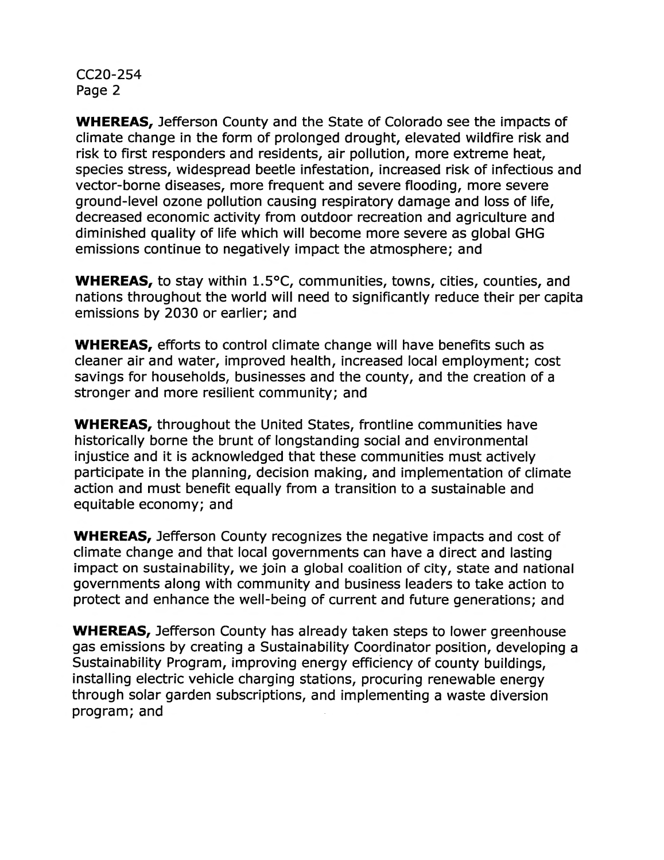CC20-254 Page 2

**WHEREAS,** Jefferson County and the State of Colorado see the impacts of climate change in the form of prolonged drought, elevated wildfire risk and risk to first responders and residents, air pollution, more extreme heat, species stress, widespread beetle infestation, increased risk of infectious and vector-borne diseases, more frequent and severe flooding, more severe ground-level ozone pollution causing respiratory damage and loss of life, decreased economic activity from outdoor recreation and agriculture and diminished quality of life which will become more severe as global GHG emissions continue to negatively impact the atmosphere; and

**WHEREAS,** to stay within 1.5°C, communities, towns, cities, counties, and nations throughout the world will need to significantly reduce their per capita emissions by 2030 or earlier; and

**WHEREAS,** efforts to control climate change will have benefits such as cleaner air and water, improved health, increased local employment; cost savings for households, businesses and the county, and the creation of a stronger and more resilient community; and

**WHEREAS,** throughout the United States, frontline communities have historically borne the brunt of longstanding social and environmental injustice and it is acknowledged that these communities must actively participate in the planning, decision making, and implementation of climate action and must benefit equally from a transition to a sustainable and equitable economy; and

**WHEREAS,** Jefferson County recognizes the negative impacts and cost of climate change and that local governments can have a direct and lasting impact on sustainability, we join a global coalition of city, state and national governments along with community and business leaders to take action to protect and enhance the well-being of current and future generations; and

**WHEREAS,** Jefferson County has already taken steps to lower greenhouse gas emissions by creating a Sustainability Coordinator position, developing a Sustainability Program, improving energy efficiency of county buildings, installing electric vehicle charging stations, procuring renewable energy through solar garden subscriptions, and implementing a waste diversion program; and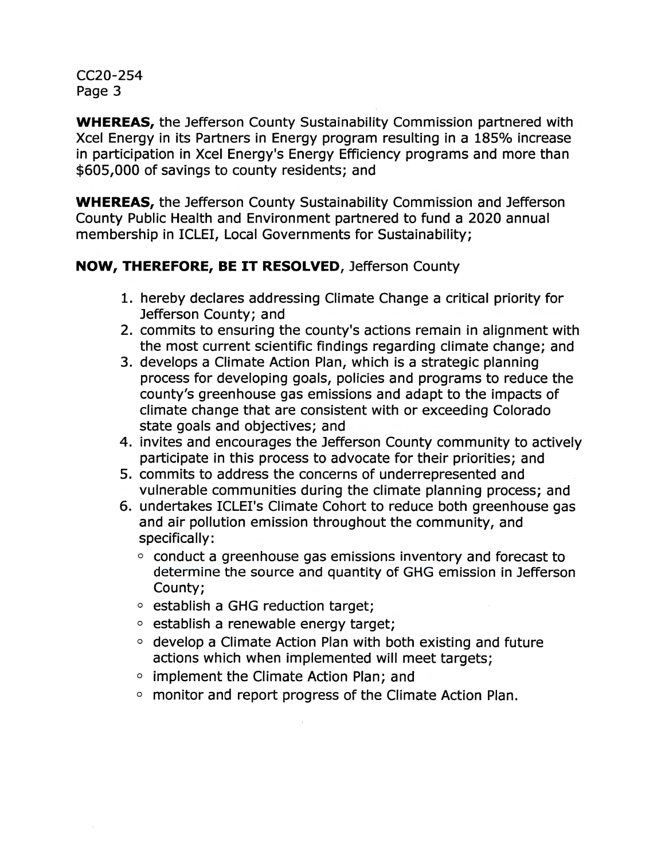CC20-254 Page 3

**WHEREAS,** the Jefferson County Sustainability Commission partnered with Xcel Energy in its Partners in Energy program resulting in a 185% increase in participation in Xcel Energy's Energy Efficiency programs and more than \$605,000 of savings to county residents; and

**WHEREAS,** the Jefferson County Sustainability Commission and Jefferson County Public Health and Environment partnered to fund a 2020 annual membership in ICLEI, Local Governments for Sustainability;

## **NOW, THEREFORE, BE IT RESOLVED,** Jefferson County

- 1. hereby declares addressing Climate Change a critical priority for Jefferson County; and
- 2. commits to ensuring the county's actions remain in alignment with the most current scientific findings regarding climate change; and
- 3. develops a Climate Action Plan, which is a strategic planning process for developing goals, policies and programs to reduce the county's greenhouse gas emissions and adapt to the impacts of climate change that are consistent with or exceeding Colorado state goals and objectives; and
- 4. invites and encourages the Jefferson County community to actively participate in this process to advocate for their priorities; and
- 5. commits to address the concerns of underrepresented and vulnerable communities during the climate planning process; and
- 6. undertakes ICLEl's Climate Cohort to reduce both greenhouse gas and air pollution emission throughout the community, and specifically:
	- $\circ$  conduct a greenhouse gas emissions inventory and forecast to determine the source and quantity of GHG emission in Jefferson County;
	- 0 establish a GHG reduction target;
	- 0 establish a renewable energy target;
	- $\circ$  develop a Climate Action Plan with both existing and future actions which when implemented will meet targets;
	- 0 implement the Climate Action Plan; and
	- 0 monitor and report progress of the Climate Action Plan.